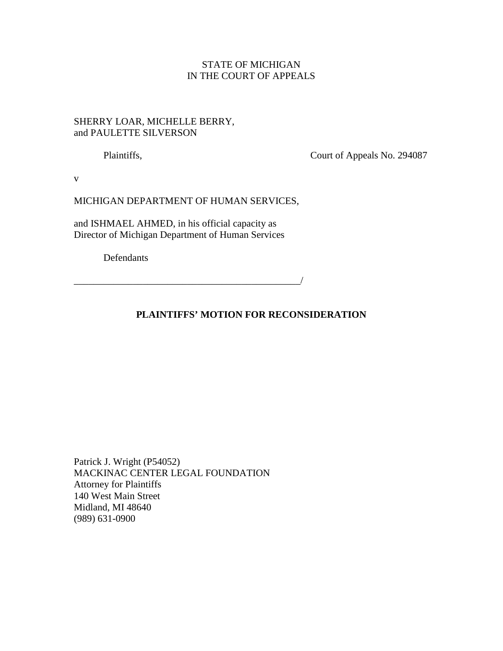# STATE OF MICHIGAN IN THE COURT OF APPEALS

## SHERRY LOAR, MICHELLE BERRY, and PAULETTE SILVERSON

Plaintiffs, Court of Appeals No. 294087

v

### MICHIGAN DEPARTMENT OF HUMAN SERVICES,

and ISHMAEL AHMED, in his official capacity as Director of Michigan Department of Human Services

Defendants

## **PLAINTIFFS' MOTION FOR RECONSIDERATION**

\_\_\_\_\_\_\_\_\_\_\_\_\_\_\_\_\_\_\_\_\_\_\_\_\_\_\_\_\_\_\_\_\_\_\_\_\_\_\_\_\_\_\_\_\_\_/

Patrick J. Wright (P54052) MACKINAC CENTER LEGAL FOUNDATION Attorney for Plaintiffs 140 West Main Street Midland, MI 48640 (989) 631-0900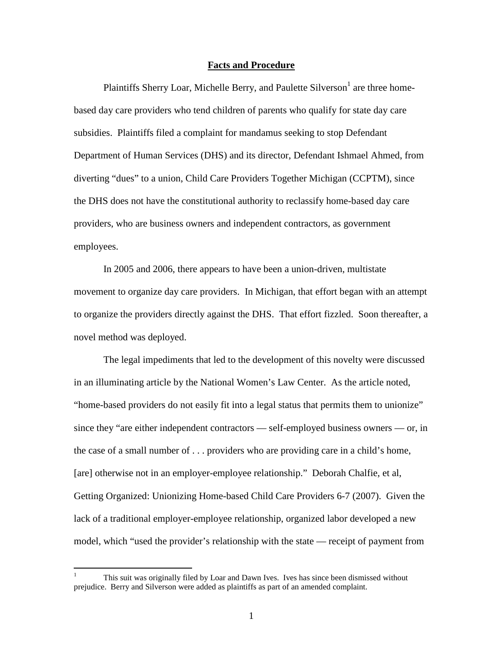#### **Facts and Procedure**

Plaintiffs Sherry Loar, Michelle Berry, and Paulette Silverson<sup>1</sup> are three homebased day care providers who tend children of parents who qualify for state day care subsidies. Plaintiffs filed a complaint for mandamus seeking to stop Defendant Department of Human Services (DHS) and its director, Defendant Ishmael Ahmed, from diverting "dues" to a union, Child Care Providers Together Michigan (CCPTM), since the DHS does not have the constitutional authority to reclassify home-based day care providers, who are business owners and independent contractors, as government employees.

In 2005 and 2006, there appears to have been a union-driven, multistate movement to organize day care providers. In Michigan, that effort began with an attempt to organize the providers directly against the DHS. That effort fizzled. Soon thereafter, a novel method was deployed.

The legal impediments that led to the development of this novelty were discussed in an illuminating article by the National Women's Law Center. As the article noted, "home-based providers do not easily fit into a legal status that permits them to unionize" since they "are either independent contractors — self-employed business owners — or, in the case of a small number of . . . providers who are providing care in a child's home, [are] otherwise not in an employer-employee relationship." Deborah Chalfie, et al, Getting Organized: Unionizing Home-based Child Care Providers 6-7 (2007). Given the lack of a traditional employer-employee relationship, organized labor developed a new model, which "used the provider's relationship with the state — receipt of payment from

<u>.</u>

<sup>1</sup> This suit was originally filed by Loar and Dawn Ives. Ives has since been dismissed without prejudice. Berry and Silverson were added as plaintiffs as part of an amended complaint.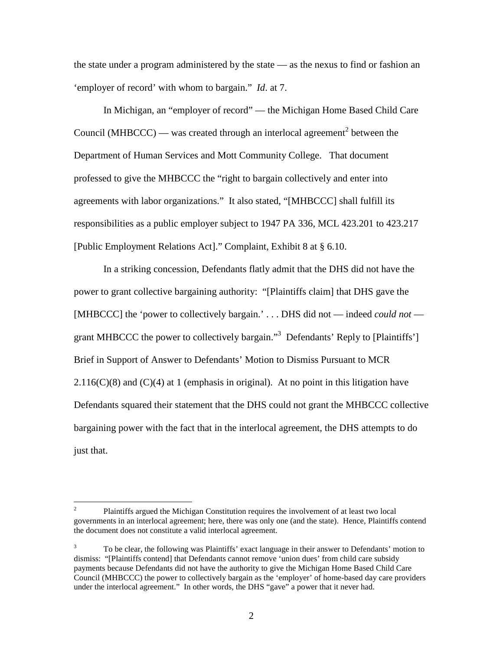the state under a program administered by the state — as the nexus to find or fashion an 'employer of record' with whom to bargain." *Id*. at 7.

In Michigan, an "employer of record" — the Michigan Home Based Child Care Council (MHBCCC) — was created through an interlocal agreement<sup>2</sup> between the Department of Human Services and Mott Community College. That document professed to give the MHBCCC the "right to bargain collectively and enter into agreements with labor organizations." It also stated, "[MHBCCC] shall fulfill its responsibilities as a public employer subject to 1947 PA 336, MCL 423.201 to 423.217 [Public Employment Relations Act]." Complaint, Exhibit 8 at § 6.10.

In a striking concession, Defendants flatly admit that the DHS did not have the power to grant collective bargaining authority: "[Plaintiffs claim] that DHS gave the [MHBCCC] the 'power to collectively bargain.' . . . DHS did not — indeed *could not* grant MHBCCC the power to collectively bargain."<sup>3</sup> Defendants' Reply to [Plaintiffs'] Brief in Support of Answer to Defendants' Motion to Dismiss Pursuant to MCR  $2.116(C)(8)$  and  $(C)(4)$  at 1 (emphasis in original). At no point in this litigation have Defendants squared their statement that the DHS could not grant the MHBCCC collective bargaining power with the fact that in the interlocal agreement, the DHS attempts to do just that.

 $\frac{1}{2}$  Plaintiffs argued the Michigan Constitution requires the involvement of at least two local governments in an interlocal agreement; here, there was only one (and the state). Hence, Plaintiffs contend the document does not constitute a valid interlocal agreement.

 3 To be clear, the following was Plaintiffs' exact language in their answer to Defendants' motion to dismiss: "[Plaintiffs contend] that Defendants cannot remove 'union dues' from child care subsidy payments because Defendants did not have the authority to give the Michigan Home Based Child Care Council (MHBCCC) the power to collectively bargain as the 'employer' of home-based day care providers under the interlocal agreement." In other words, the DHS "gave" a power that it never had.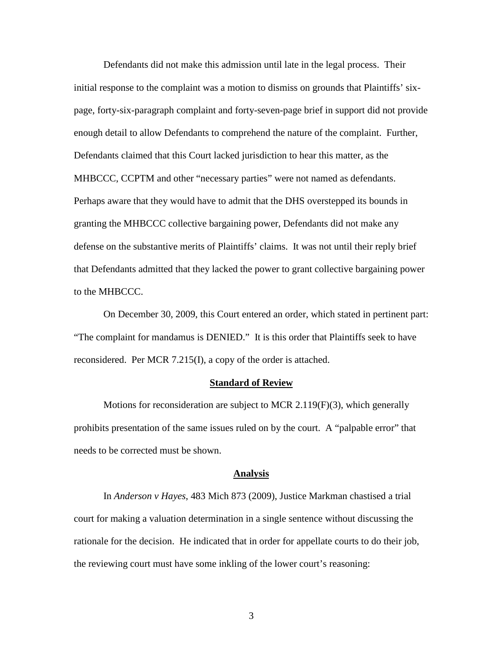Defendants did not make this admission until late in the legal process. Their initial response to the complaint was a motion to dismiss on grounds that Plaintiffs' sixpage, forty-six-paragraph complaint and forty-seven-page brief in support did not provide enough detail to allow Defendants to comprehend the nature of the complaint. Further, Defendants claimed that this Court lacked jurisdiction to hear this matter, as the MHBCCC, CCPTM and other "necessary parties" were not named as defendants. Perhaps aware that they would have to admit that the DHS overstepped its bounds in granting the MHBCCC collective bargaining power, Defendants did not make any defense on the substantive merits of Plaintiffs' claims. It was not until their reply brief that Defendants admitted that they lacked the power to grant collective bargaining power to the MHBCCC.

On December 30, 2009, this Court entered an order, which stated in pertinent part: "The complaint for mandamus is DENIED." It is this order that Plaintiffs seek to have reconsidered. Per MCR 7.215(I), a copy of the order is attached.

### **Standard of Review**

Motions for reconsideration are subject to MCR 2.119(F)(3), which generally prohibits presentation of the same issues ruled on by the court. A "palpable error" that needs to be corrected must be shown.

#### **Analysis**

 In *Anderson v Hayes*, 483 Mich 873 (2009), Justice Markman chastised a trial court for making a valuation determination in a single sentence without discussing the rationale for the decision. He indicated that in order for appellate courts to do their job, the reviewing court must have some inkling of the lower court's reasoning:

3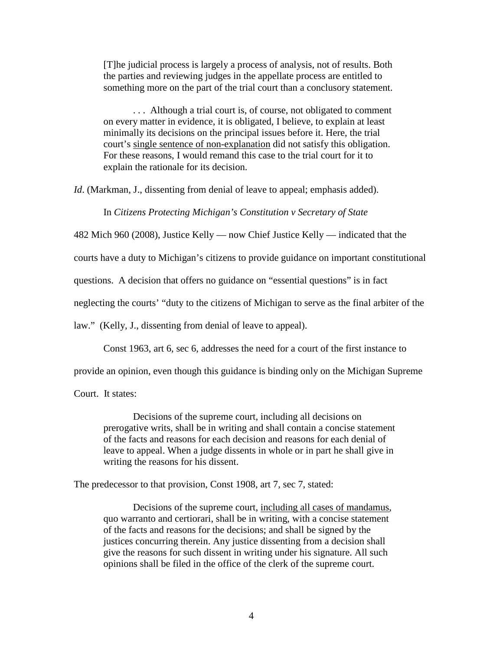[T]he judicial process is largely a process of analysis, not of results. Both the parties and reviewing judges in the appellate process are entitled to something more on the part of the trial court than a conclusory statement.

 . . . Although a trial court is, of course, not obligated to comment on every matter in evidence, it is obligated, I believe, to explain at least minimally its decisions on the principal issues before it. Here, the trial court's single sentence of non-explanation did not satisfy this obligation. For these reasons, I would remand this case to the trial court for it to explain the rationale for its decision.

*Id.* (Markman, J., dissenting from denial of leave to appeal; emphasis added).

In *Citizens Protecting Michigan's Constitution v Secretary of State*

482 Mich 960 (2008), Justice Kelly — now Chief Justice Kelly — indicated that the

courts have a duty to Michigan's citizens to provide guidance on important constitutional

questions. A decision that offers no guidance on "essential questions" is in fact

neglecting the courts' "duty to the citizens of Michigan to serve as the final arbiter of the

law." (Kelly, J., dissenting from denial of leave to appeal).

Const 1963, art 6, sec 6, addresses the need for a court of the first instance to

provide an opinion, even though this guidance is binding only on the Michigan Supreme

Court. It states:

Decisions of the supreme court, including all decisions on prerogative writs, shall be in writing and shall contain a concise statement of the facts and reasons for each decision and reasons for each denial of leave to appeal. When a judge dissents in whole or in part he shall give in writing the reasons for his dissent.

The predecessor to that provision, Const 1908, art 7, sec 7, stated:

Decisions of the supreme court, including all cases of mandamus, quo warranto and certiorari, shall be in writing, with a concise statement of the facts and reasons for the decisions; and shall be signed by the justices concurring therein. Any justice dissenting from a decision shall give the reasons for such dissent in writing under his signature. All such opinions shall be filed in the office of the clerk of the supreme court.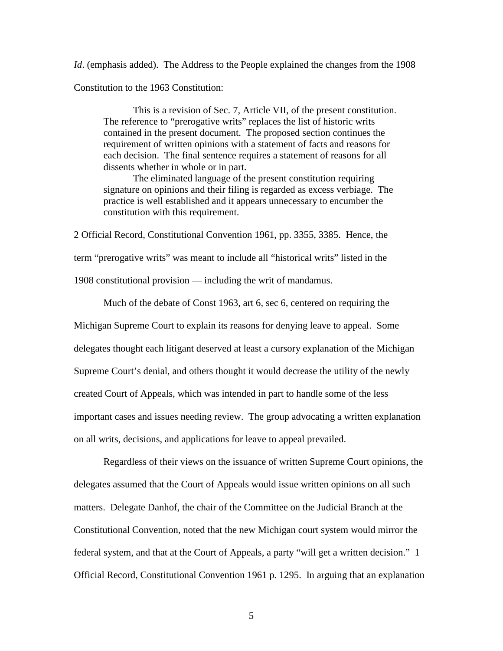*Id.* (emphasis added). The Address to the People explained the changes from the 1908 Constitution to the 1963 Constitution:

 This is a revision of Sec. 7, Article VII, of the present constitution. The reference to "prerogative writs" replaces the list of historic writs contained in the present document. The proposed section continues the requirement of written opinions with a statement of facts and reasons for each decision. The final sentence requires a statement of reasons for all dissents whether in whole or in part.

 The eliminated language of the present constitution requiring signature on opinions and their filing is regarded as excess verbiage. The practice is well established and it appears unnecessary to encumber the constitution with this requirement.

2 Official Record, Constitutional Convention 1961, pp. 3355, 3385. Hence, the term "prerogative writs" was meant to include all "historical writs" listed in the 1908 constitutional provision — including the writ of mandamus.

 Much of the debate of Const 1963, art 6, sec 6, centered on requiring the Michigan Supreme Court to explain its reasons for denying leave to appeal. Some delegates thought each litigant deserved at least a cursory explanation of the Michigan Supreme Court's denial, and others thought it would decrease the utility of the newly created Court of Appeals, which was intended in part to handle some of the less important cases and issues needing review. The group advocating a written explanation on all writs, decisions, and applications for leave to appeal prevailed.

Regardless of their views on the issuance of written Supreme Court opinions, the delegates assumed that the Court of Appeals would issue written opinions on all such matters. Delegate Danhof, the chair of the Committee on the Judicial Branch at the Constitutional Convention, noted that the new Michigan court system would mirror the federal system, and that at the Court of Appeals, a party "will get a written decision." 1 Official Record, Constitutional Convention 1961 p. 1295. In arguing that an explanation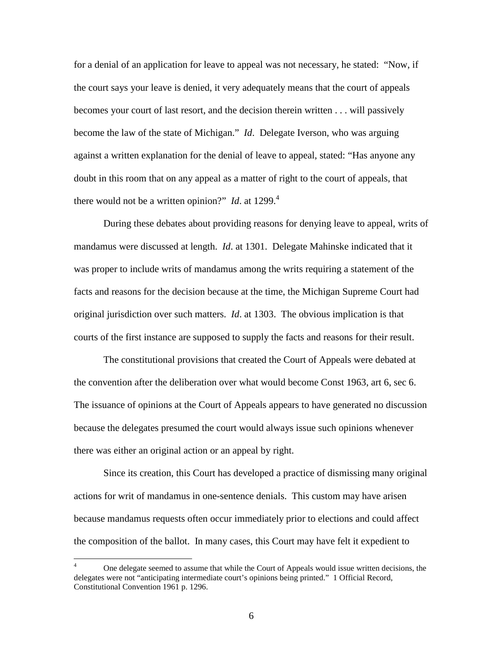for a denial of an application for leave to appeal was not necessary, he stated: "Now, if the court says your leave is denied, it very adequately means that the court of appeals becomes your court of last resort, and the decision therein written . . . will passively become the law of the state of Michigan." *Id*. Delegate Iverson, who was arguing against a written explanation for the denial of leave to appeal, stated: "Has anyone any doubt in this room that on any appeal as a matter of right to the court of appeals, that there would not be a written opinion?" *Id.* at  $1299<sup>4</sup>$ 

During these debates about providing reasons for denying leave to appeal, writs of mandamus were discussed at length. *Id*. at 1301. Delegate Mahinske indicated that it was proper to include writs of mandamus among the writs requiring a statement of the facts and reasons for the decision because at the time, the Michigan Supreme Court had original jurisdiction over such matters. *Id*. at 1303. The obvious implication is that courts of the first instance are supposed to supply the facts and reasons for their result.

 The constitutional provisions that created the Court of Appeals were debated at the convention after the deliberation over what would become Const 1963, art 6, sec 6. The issuance of opinions at the Court of Appeals appears to have generated no discussion because the delegates presumed the court would always issue such opinions whenever there was either an original action or an appeal by right.

 Since its creation, this Court has developed a practice of dismissing many original actions for writ of mandamus in one-sentence denials. This custom may have arisen because mandamus requests often occur immediately prior to elections and could affect the composition of the ballot. In many cases, this Court may have felt it expedient to

 $\frac{1}{4}$  One delegate seemed to assume that while the Court of Appeals would issue written decisions, the delegates were not "anticipating intermediate court's opinions being printed." 1 Official Record, Constitutional Convention 1961 p. 1296.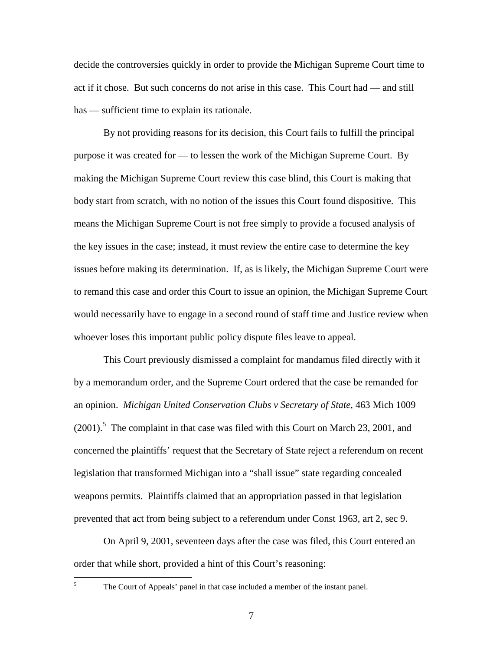decide the controversies quickly in order to provide the Michigan Supreme Court time to act if it chose. But such concerns do not arise in this case. This Court had — and still has — sufficient time to explain its rationale.

By not providing reasons for its decision, this Court fails to fulfill the principal purpose it was created for — to lessen the work of the Michigan Supreme Court. By making the Michigan Supreme Court review this case blind, this Court is making that body start from scratch, with no notion of the issues this Court found dispositive. This means the Michigan Supreme Court is not free simply to provide a focused analysis of the key issues in the case; instead, it must review the entire case to determine the key issues before making its determination. If, as is likely, the Michigan Supreme Court were to remand this case and order this Court to issue an opinion, the Michigan Supreme Court would necessarily have to engage in a second round of staff time and Justice review when whoever loses this important public policy dispute files leave to appeal.

This Court previously dismissed a complaint for mandamus filed directly with it by a memorandum order, and the Supreme Court ordered that the case be remanded for an opinion. *Michigan United Conservation Clubs v Secretary of State*, 463 Mich 1009  $(2001)$ .<sup>5</sup> The complaint in that case was filed with this Court on March 23, 2001, and concerned the plaintiffs' request that the Secretary of State reject a referendum on recent legislation that transformed Michigan into a "shall issue" state regarding concealed weapons permits. Plaintiffs claimed that an appropriation passed in that legislation prevented that act from being subject to a referendum under Const 1963, art 2, sec 9.

On April 9, 2001, seventeen days after the case was filed, this Court entered an order that while short, provided a hint of this Court's reasoning:

 $\frac{1}{5}$ 

The Court of Appeals' panel in that case included a member of the instant panel.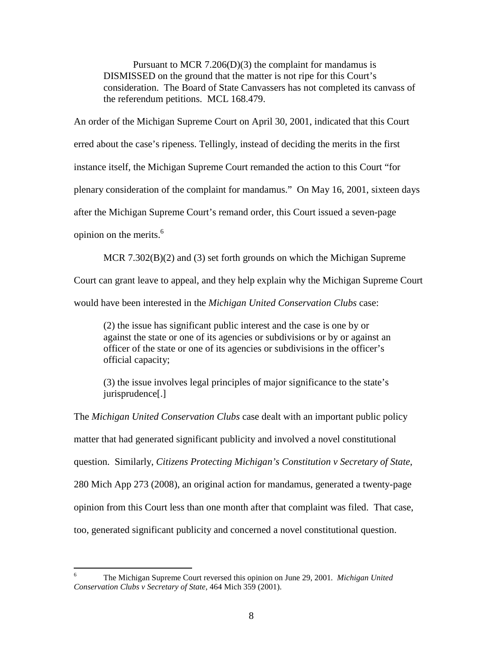Pursuant to MCR 7.206(D)(3) the complaint for mandamus is DISMISSED on the ground that the matter is not ripe for this Court's consideration. The Board of State Canvassers has not completed its canvass of the referendum petitions. MCL 168.479.

An order of the Michigan Supreme Court on April 30, 2001, indicated that this Court erred about the case's ripeness. Tellingly, instead of deciding the merits in the first instance itself, the Michigan Supreme Court remanded the action to this Court "for plenary consideration of the complaint for mandamus." On May 16, 2001, sixteen days after the Michigan Supreme Court's remand order, this Court issued a seven-page opinion on the merits.<sup>6</sup>

MCR 7.302(B)(2) and (3) set forth grounds on which the Michigan Supreme

Court can grant leave to appeal, and they help explain why the Michigan Supreme Court

would have been interested in the *Michigan United Conservation Clubs* case:

(2) the issue has significant public interest and the case is one by or against the state or one of its agencies or subdivisions or by or against an officer of the state or one of its agencies or subdivisions in the officer's official capacity;

(3) the issue involves legal principles of major significance to the state's jurisprudence[.]

The *Michigan United Conservation Clubs* case dealt with an important public policy matter that had generated significant publicity and involved a novel constitutional question. Similarly, *Citizens Protecting Michigan's Constitution v Secretary of State*, 280 Mich App 273 (2008), an original action for mandamus, generated a twenty-page opinion from this Court less than one month after that complaint was filed. That case, too, generated significant publicity and concerned a novel constitutional question.

 $\frac{1}{6}$  The Michigan Supreme Court reversed this opinion on June 29, 2001*. Michigan United Conservation Clubs v Secretary of State*, 464 Mich 359 (2001).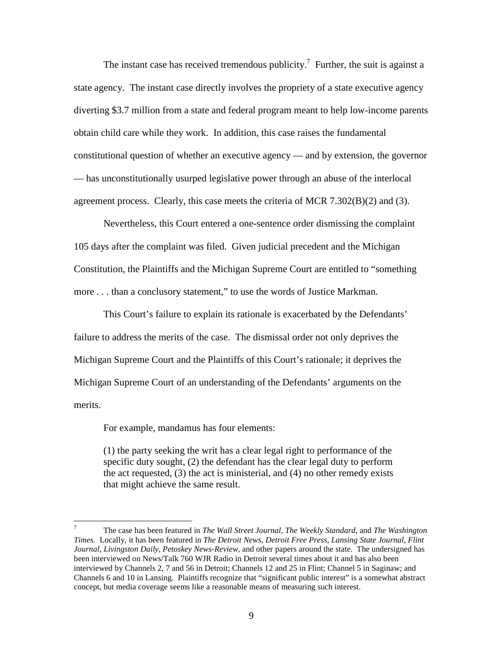The instant case has received tremendous publicity.<sup>7</sup> Further, the suit is against a state agency. The instant case directly involves the propriety of a state executive agency diverting \$3.7 million from a state and federal program meant to help low-income parents obtain child care while they work. In addition, this case raises the fundamental constitutional question of whether an executive agency — and by extension, the governor — has unconstitutionally usurped legislative power through an abuse of the interlocal agreement process. Clearly, this case meets the criteria of MCR 7.302(B)(2) and (3).

 Nevertheless, this Court entered a one-sentence order dismissing the complaint 105 days after the complaint was filed. Given judicial precedent and the Michigan Constitution, the Plaintiffs and the Michigan Supreme Court are entitled to "something more . . . than a conclusory statement," to use the words of Justice Markman.

 This Court's failure to explain its rationale is exacerbated by the Defendants' failure to address the merits of the case. The dismissal order not only deprives the Michigan Supreme Court and the Plaintiffs of this Court's rationale; it deprives the Michigan Supreme Court of an understanding of the Defendants' arguments on the merits.

For example, mandamus has four elements:

(1) the party seeking the writ has a clear legal right to performance of the specific duty sought, (2) the defendant has the clear legal duty to perform the act requested, (3) the act is ministerial, and (4) no other remedy exists that might achieve the same result.

<sup>-&</sup>lt;br>7 The case has been featured in *The Wall Street Journal, The Weekly Standard,* and *The Washington Times*. Locally, it has been featured in *The Detroit News*, *Detroit Free Press*, *Lansing State Journal*, *Flint Journal*, *Livingston Daily, Petoskey News-Review,* and other papers around the state. The undersigned has been interviewed on News/Talk 760 WJR Radio in Detroit several times about it and has also been interviewed by Channels 2, 7 and 56 in Detroit; Channels 12 and 25 in Flint; Channel 5 in Saginaw; and Channels 6 and 10 in Lansing. Plaintiffs recognize that "significant public interest" is a somewhat abstract concept, but media coverage seems like a reasonable means of measuring such interest.